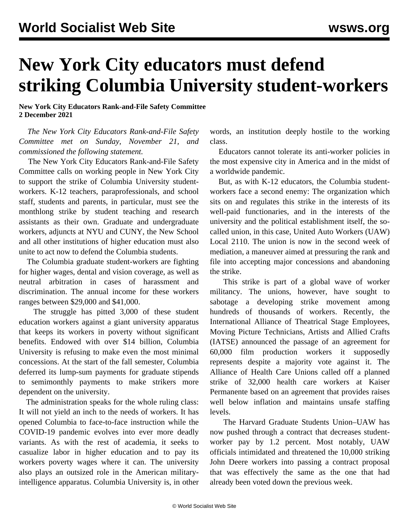## **New York City educators must defend striking Columbia University student-workers**

**New York City Educators Rank-and-File Safety Committee 2 December 2021**

 *The New York City Educators Rank-and-File Safety Committee met on Sunday, November 21, and commissioned the following statement.*

 The New York City Educators Rank-and-File Safety Committee calls on working people in New York City to support the strike of Columbia University studentworkers. K-12 teachers, paraprofessionals, and school staff, students and parents, in particular, must see the monthlong strike by student teaching and research assistants as their own. Graduate and undergraduate workers, adjuncts at NYU and CUNY, the New School and all other institutions of higher education must also unite to act now to defend the Columbia students.

 The Columbia graduate student-workers are fighting for higher wages, dental and vision coverage, as well as neutral arbitration in cases of harassment and discrimination. The annual income for these workers ranges between \$29,000 and \$41,000.

 The struggle has pitted 3,000 of these student education workers against a giant university apparatus that keeps its workers in poverty without significant benefits. Endowed with over \$14 billion, Columbia University is refusing to make even the most minimal concessions. At the start of the fall semester, Columbia deferred its lump-sum payments for graduate stipends to semimonthly payments to make strikers more dependent on the university.

 The administration speaks for the whole ruling class: It will not yield an inch to the needs of workers. It has opened Columbia to face-to-face instruction while the COVID-19 pandemic evolves into ever more deadly variants. As with the rest of academia, it seeks to casualize labor in higher education and to pay its workers poverty wages where it can. The university also plays an outsized role in the American militaryintelligence apparatus. Columbia University is, in other words, an institution deeply hostile to the working class.

 Educators cannot tolerate its anti-worker policies in the most expensive city in America and in the midst of a worldwide pandemic.

 But, as with K-12 educators, the Columbia studentworkers face a second enemy: The organization which sits on and regulates this strike in the interests of its well-paid functionaries, and in the interests of the university and the political establishment itself, the socalled union, in this case, United Auto Workers (UAW) Local 2110. The union is now in the second week of mediation, a maneuver aimed at pressuring the rank and file into accepting major concessions and abandoning the strike.

 This strike is part of a global wave of worker militancy. The unions, however, have sought to sabotage a developing strike movement among hundreds of thousands of workers. Recently, the International Alliance of Theatrical Stage Employees, Moving Picture Technicians, Artists and Allied Crafts (IATSE) announced the passage of an agreement for 60,000 film production workers it supposedly represents despite a majority vote against it. The Alliance of Health Care Unions called off a planned strike of 32,000 health care workers at Kaiser Permanente based on an agreement that provides raises well below inflation and maintains unsafe staffing levels.

 The Harvard Graduate Students Union–UAW has now pushed through a contract that [decreases student](/en/articles/2021/12/01/hgsu-d01.html)[worker pay](/en/articles/2021/12/01/hgsu-d01.html) by 1.2 percent. Most notably, UAW officials intimidated and threatened the 10,000 striking John Deere workers into passing a contract proposal that was effectively the same as the one that had already been voted down the previous week.